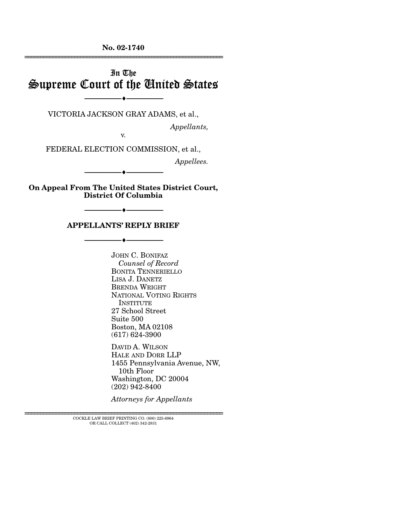**No. 02-1740**  ================================================================

# In The Supreme Court of the United States

VICTORIA JACKSON GRAY ADAMS, et al.,

----------------------------- ------------------------------

 $-$ 

*Appellants,* 

v.

FEDERAL ELECTION COMMISSION, et al.,

*Appellees.* 

**On Appeal From The United States District Court, District Of Columbia** 

----------------------------- ------------------------------

----♦-- -

----♦-- -

----------------------------- ------------------------------ ----♦-- -

#### **APPELLANTS' REPLY BRIEF**

----------------------------- ------------------------------

JOHN C. BONIFAZ *Counsel of Record*  BONITA TENNERIELLO LISA J. DANETZ BRENDA WRIGHT NATIONAL VOTING RIGHTS **INSTITUTE** 27 School Street Suite 500 Boston, MA 02108 (617) 624-3900

DAVID A. WILSON HALE AND DORR LLP 1455 Pennsylvania Avenue, NW, 10th Floor Washington, DC 20004 (202) 942-8400

*Attorneys for Appellants* 

 ${\rm COCKLE}$  LAW BRIEF PRINTING CO. (800) 225-6964 OR CALL COLLECT (402) 342-2831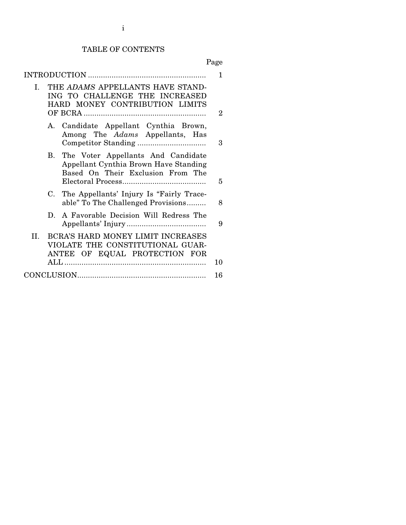#### TABLE OF CONTENTS

## Page

| $\mathbf{I}$ | THE ADAMS APPELLANTS HAVE STAND-<br>ING TO CHALLENGE THE INCREASED<br>HARD MONEY CONTRIBUTION LIMITS         |                                                                                                                     |    |  |  |
|--------------|--------------------------------------------------------------------------------------------------------------|---------------------------------------------------------------------------------------------------------------------|----|--|--|
|              |                                                                                                              | A. Candidate Appellant Cynthia Brown,<br>Among The Adams Appellants, Has                                            | 3  |  |  |
|              |                                                                                                              | B. The Voter Appellants And Candidate<br>Appellant Cynthia Brown Have Standing<br>Based On Their Exclusion From The | 5  |  |  |
|              |                                                                                                              | C. The Appellants' Injury Is "Fairly Trace-<br>able" To The Challenged Provisions                                   | 8  |  |  |
|              |                                                                                                              | D. A Favorable Decision Will Redress The                                                                            | 9  |  |  |
| II.          | BCRA'S HARD MONEY LIMIT INCREASES<br>VIOLATE THE CONSTITUTIONAL GUAR-<br>ANTEE OF EQUAL PROTECTION FOR<br>10 |                                                                                                                     |    |  |  |
|              |                                                                                                              |                                                                                                                     | 16 |  |  |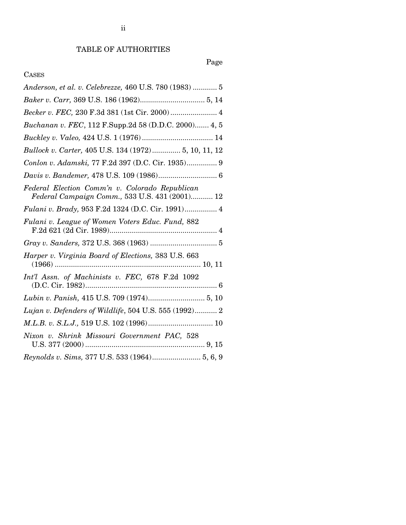## TABLE OF AUTHORITIES

## Page

## CASES

| Anderson, et al. v. Celebrezze, 460 U.S. 780 (1983)  5                                                                                         |
|------------------------------------------------------------------------------------------------------------------------------------------------|
|                                                                                                                                                |
| Becker v. FEC, 230 F.3d 381 (1st Cir. 2000) 4                                                                                                  |
| Buchanan v. FEC, 112 F.Supp.2d 58 (D.D.C. 2000) 4, 5                                                                                           |
|                                                                                                                                                |
| Bullock v. Carter, 405 U.S. 134 (1972) 5, 10, 11, 12                                                                                           |
| Conlon v. Adamski, 77 F.2d 397 (D.C. Cir. 1935) 9                                                                                              |
|                                                                                                                                                |
| Federal Election Comm'n v. Colorado Republican<br>Federal Campaign Comm., 533 U.S. 431 (2001) 12                                               |
| Fulani v. Brady, 953 F.2d 1324 (D.C. Cir. 1991) 4                                                                                              |
| Fulani v. League of Women Voters Educ. Fund, 882                                                                                               |
|                                                                                                                                                |
|                                                                                                                                                |
| Int'l Assn. of Machinists v. FEC, 678 F.2d 1092                                                                                                |
|                                                                                                                                                |
| Lujan v. Defenders of Wildlife, 504 U.S. 555 (1992) 2                                                                                          |
|                                                                                                                                                |
| Nixon v. Shrink Missouri Government PAC, 528                                                                                                   |
| $\label{eq:Reynolds} \textit{Reynolds}\ v.\ \textit{Sims},\ 377\ \text{U.S.}\ 533\ (1964) \dots \dots \dots \dots \dots \dots \dots 5,\ 6,\ 9$ |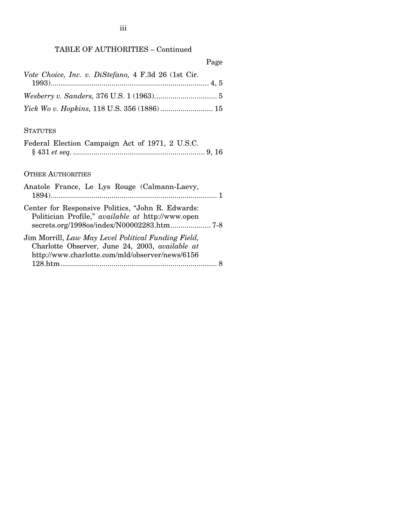## TABLE OF AUTHORITIES – Continued

|                                                     | Page |
|-----------------------------------------------------|------|
| Vote Choice, Inc. v. DiStefano, 4 F.3d 26 (1st Cir. |      |
|                                                     |      |
|                                                     |      |
|                                                     |      |

### **STATUTES**

|  | Federal Election Campaign Act of 1971, 2 U.S.C. |  |  |  |
|--|-------------------------------------------------|--|--|--|
|  |                                                 |  |  |  |

## OTHER AUTHORITIES

| Anatole France, Le Lys Rouge (Calmann-Laevy,                                                           |  |
|--------------------------------------------------------------------------------------------------------|--|
| Center for Responsive Politics, "John R. Edwards:<br>Politician Profile," available at http://www.open |  |
| Jim Morrill, Law May Level Political Funding Field,<br>Charlotte Observer, June 24, 2003, available at |  |
| http://www.charlotte.com/mld/observer/news/6156                                                        |  |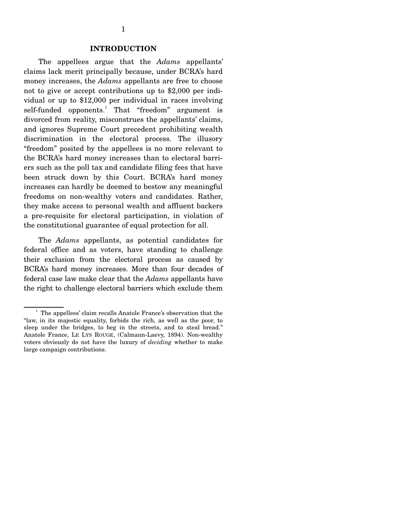#### **INTRODUCTION**

The appellees argue that the *Adams* appellants' claims lack merit principally because, under BCRA's hard money increases, the *Adams* appellants are free to choose not to give or accept contributions up to \$2,000 per individual or up to \$12,000 per individual in races involving self-funded opponents.<sup>1</sup> That "freedom" argument is divorced from reality, misconstrues the appellants' claims, and ignores Supreme Court precedent prohibiting wealth discrimination in the electoral process. The illusory "freedom" posited by the appellees is no more relevant to the BCRA's hard money increases than to electoral barriers such as the poll tax and candidate filing fees that have been struck down by this Court. BCRA's hard money increases can hardly be deemed to bestow any meaningful freedoms on non-wealthy voters and candidates. Rather, they make access to personal wealth and affluent backers a pre-requisite for electoral participation, in violation of the constitutional guarantee of equal protection for all.

The *Adams* appellants, as potential candidates for federal office and as voters, have standing to challenge their exclusion from the electoral process as caused by BCRA's hard money increases. More than four decades of federal case law make clear that the *Adams* appellants have the right to challenge electoral barriers which exclude them

 $1$  The appellees' claim recalls Anatole France's observation that the "law, in its majestic equality, forbids the rich, as well as the poor, to sleep under the bridges, to beg in the streets, and to steal bread." Anatole France, LE LYS ROUGE, (Calmann-Laevy, 1894). Non-wealthy voters obviously do not have the luxury of *deciding* whether to make large campaign contributions.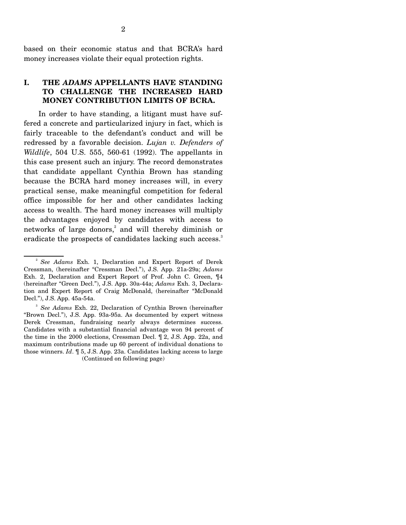based on their economic status and that BCRA's hard money increases violate their equal protection rights.

## **I. THE** *ADAMS* **APPELLANTS HAVE STANDING TO CHALLENGE THE INCREASED HARD MONEY CONTRIBUTION LIMITS OF BCRA.**

In order to have standing, a litigant must have suffered a concrete and particularized injury in fact, which is fairly traceable to the defendant's conduct and will be redressed by a favorable decision. *Lujan v. Defenders of Wildlife*, 504 U.S. 555, 560-61 (1992). The appellants in this case present such an injury. The record demonstrates that candidate appellant Cynthia Brown has standing because the BCRA hard money increases will, in every practical sense, make meaningful competition for federal office impossible for her and other candidates lacking access to wealth. The hard money increases will multiply the advantages enjoyed by candidates with access to networks of large donors,<sup>2</sup> and will thereby diminish or eradicate the prospects of candidates lacking such access.<sup>3</sup>

<sup>2</sup>*See Adams* Exh. 1, Declaration and Expert Report of Derek Cressman, (hereinafter "Cressman Decl."), J.S. App. 21a-29a; *Adams*  Exh. 2, Declaration and Expert Report of Prof. John C. Green, ¶4 (hereinafter "Green Decl."), J.S. App. 30a-44a; *Adams* Exh. 3, Declaration and Expert Report of Craig McDonald, (hereinafter "McDonald Decl."), J.S. App. 45a-54a.

<sup>3</sup>*See Adams* Exh. 22, Declaration of Cynthia Brown (hereinafter "Brown Decl."), J.S. App. 93a-95a. As documented by expert witness Derek Cressman, fundraising nearly always determines success. Candidates with a substantial financial advantage won 94 percent of the time in the 2000 elections, Cressman Decl. ¶ 2, J.S. App. 22a, and maximum contributions made up 60 percent of individual donations to those winners. *Id*. ¶ 5, J.S. App. 23a. Candidates lacking access to large (Continued on following page)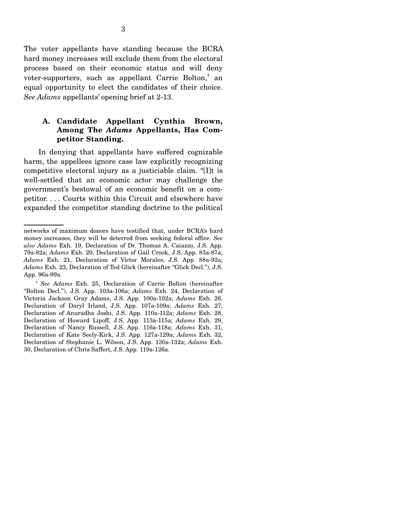The voter appellants have standing because the BCRA hard money increases will exclude them from the electoral process based on their economic status and will deny voter-supporters, such as appellant Carrie Bolton, $4$  an equal opportunity to elect the candidates of their choice. *See Adams* appellants' opening brief at 2-13.

### **A. Candidate Appellant Cynthia Brown, Among The** *Adams* **Appellants, Has Competitor Standing.**

In denying that appellants have suffered cognizable harm, the appellees ignore case law explicitly recognizing competitive electoral injury as a justiciable claim. "[I]t is well-settled that an economic actor may challenge the government's bestowal of an economic benefit on a competitor. . . . Courts within this Circuit and elsewhere have expanded the competitor standing doctrine to the political

networks of maximum donors have testified that, under BCRA's hard money increases, they will be deterred from seeking federal office. *See also Adams* Exh. 19, Declaration of Dr. Thomas A. Caiazzo, J.S. App. 79a-82a; *Adams* Exh. 20, Declaration of Gail Crook, J.S. App. 83a-87a; *Adams* Exh. 21, Declaration of Victor Morales, J.S. App. 88a-92a; *Adams* Exh. 23, Declaration of Ted Glick (hereinafter "Glick Decl."), J.S. App. 96a-99a.

<sup>4</sup>*See Adams* Exh. 25, Declaration of Carrie Bolton (hereinafter "Bolton Decl."), J.S. App. 103a-106a; *Adams* Exh. 24, Declaration of Victoria Jackson Gray Adams, J.S. App. 100a-102a; *Adams* Exh. 26, Declaration of Daryl Irland, J.S. App. 107a-109a; *Adams* Exh. 27, Declaration of Anuradha Joshi, J.S. App. 110a-112a; *Adams* Exh. 28, Declaration of Howard Lipoff, J.S. App. 113a-115a; *Adams* Exh. 29, Declaration of Nancy Russell, J.S. App. 116a-118a; *Adams* Exh. 31, Declaration of Kate Seely-Kirk, J.S. App. 127a-129a; *Adams* Exh. 32, Declaration of Stephanie L. Wilson, J.S. App. 130a-132a; *Adams* Exh. 30, Declaration of Chris Saffert, J.S. App. 119a-126a.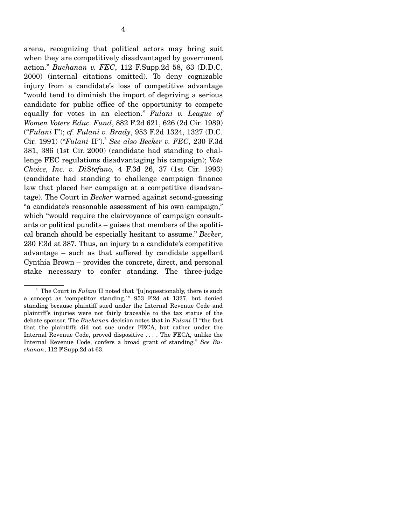arena, recognizing that political actors may bring suit when they are competitively disadvantaged by government action." *Buchanan v. FEC*, 112 F.Supp.2d 58, 63 (D.D.C. 2000) (internal citations omitted). To deny cognizable injury from a candidate's loss of competitive advantage "would tend to diminish the import of depriving a serious candidate for public office of the opportunity to compete equally for votes in an election." *Fulani v. League of Women Voters Educ. Fund*, 882 F.2d 621, 626 (2d Cir. 1989) ("*Fulani* I"); *cf. Fulani v. Brady*, 953 F.2d 1324, 1327 (D.C. Cir. 1991) ("*Fulani* II").<sup>5</sup>*See also Becker v. FEC*, 230 F.3d 381, 386 (1st Cir. 2000) (candidate had standing to challenge FEC regulations disadvantaging his campaign); *Vote Choice, Inc. v. DiStefano,* 4 F.3d 26, 37 (1st Cir. 1993) (candidate had standing to challenge campaign finance law that placed her campaign at a competitive disadvantage). The Court in *Becker* warned against second-guessing "a candidate's reasonable assessment of his own campaign," which "would require the clairvoyance of campaign consultants or political pundits – guises that members of the apolitical branch should be especially hesitant to assume." *Becker*, 230 F.3d at 387. Thus, an injury to a candidate's competitive advantage – such as that suffered by candidate appellant Cynthia Brown – provides the concrete, direct, and personal stake necessary to confer standing. The three-judge

<sup>&</sup>lt;sup>5</sup> The Court in *Fulani* II noted that "[u]nquestionably, there is such a concept as 'competitor standing,'" 953 F.2d at 1327, but denied standing because plaintiff sued under the Internal Revenue Code and plaintiff's injuries were not fairly traceable to the tax status of the debate sponsor. The *Buchanan* decision notes that in *Fulani* II "the fact that the plaintiffs did not sue under FECA, but rather under the Internal Revenue Code, proved dispositive . . . . The FECA, unlike the Internal Revenue Code, confers a broad grant of standing." *See Buchanan*, 112 F.Supp.2d at 63.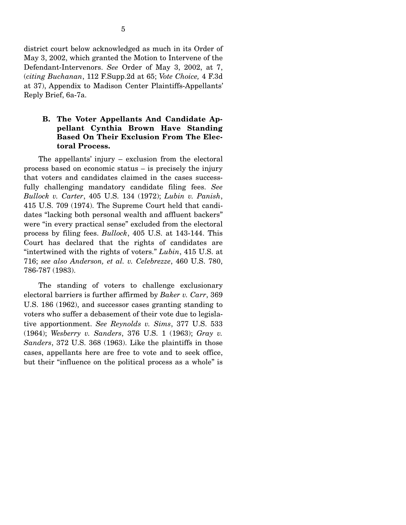district court below acknowledged as much in its Order of May 3, 2002, which granted the Motion to Intervene of the Defendant-Intervenors. *See* Order of May 3, 2002, at 7, (*citing Buchanan*, 112 F.Supp.2d at 65; *Vote Choice,* 4 F.3d at 37), Appendix to Madison Center Plaintiffs-Appellants' Reply Brief, 6a-7a.

### **B. The Voter Appellants And Candidate Appellant Cynthia Brown Have Standing Based On Their Exclusion From The Electoral Process.**

The appellants' injury – exclusion from the electoral process based on economic status – is precisely the injury that voters and candidates claimed in the cases successfully challenging mandatory candidate filing fees. *See Bullock v. Carter*, 405 U.S. 134 (1972); *Lubin v. Panish*, 415 U.S. 709 (1974). The Supreme Court held that candidates "lacking both personal wealth and affluent backers" were "in every practical sense" excluded from the electoral process by filing fees. *Bullock*, 405 U.S. at 143-144. This Court has declared that the rights of candidates are "intertwined with the rights of voters." *Lubin*, 415 U.S. at 716; *see also Anderson, et al. v. Celebrezze*, 460 U.S. 780, 786-787 (1983).

The standing of voters to challenge exclusionary electoral barriers is further affirmed by *Baker v. Carr*, 369 U.S. 186 (1962), and successor cases granting standing to voters who suffer a debasement of their vote due to legislative apportionment. *See Reynolds v. Sims*, 377 U.S. 533 (1964); *Wesberry v. Sanders*, 376 U.S. 1 (1963); *Gray v. Sanders*, 372 U.S. 368 (1963). Like the plaintiffs in those cases, appellants here are free to vote and to seek office, but their "influence on the political process as a whole" is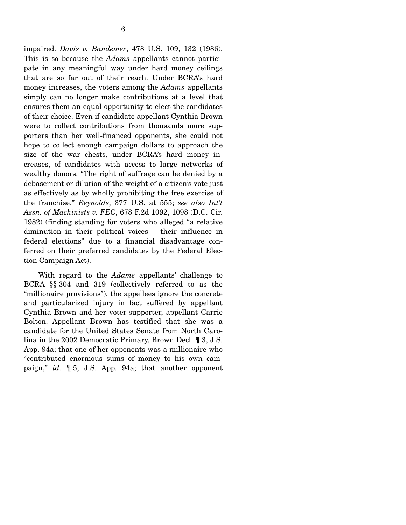impaired. *Davis v. Bandemer*, 478 U.S. 109, 132 (1986). This is so because the *Adams* appellants cannot participate in any meaningful way under hard money ceilings that are so far out of their reach. Under BCRA's hard money increases, the voters among the *Adams* appellants simply can no longer make contributions at a level that ensures them an equal opportunity to elect the candidates of their choice. Even if candidate appellant Cynthia Brown were to collect contributions from thousands more supporters than her well-financed opponents, she could not hope to collect enough campaign dollars to approach the size of the war chests, under BCRA's hard money increases, of candidates with access to large networks of wealthy donors. "The right of suffrage can be denied by a debasement or dilution of the weight of a citizen's vote just as effectively as by wholly prohibiting the free exercise of the franchise." *Reynolds*, 377 U.S. at 555; *see also Int'l Assn. of Machinists v. FEC*, 678 F.2d 1092, 1098 (D.C. Cir. 1982) (finding standing for voters who alleged "a relative diminution in their political voices – their influence in federal elections" due to a financial disadvantage conferred on their preferred candidates by the Federal Election Campaign Act).

With regard to the *Adams* appellants' challenge to BCRA §§ 304 and 319 (collectively referred to as the "millionaire provisions"), the appellees ignore the concrete and particularized injury in fact suffered by appellant Cynthia Brown and her voter-supporter, appellant Carrie Bolton. Appellant Brown has testified that she was a candidate for the United States Senate from North Carolina in the 2002 Democratic Primary, Brown Decl. ¶ 3, J.S. App. 94a; that one of her opponents was a millionaire who "contributed enormous sums of money to his own campaign," *id.* ¶ 5, J.S. App. 94a; that another opponent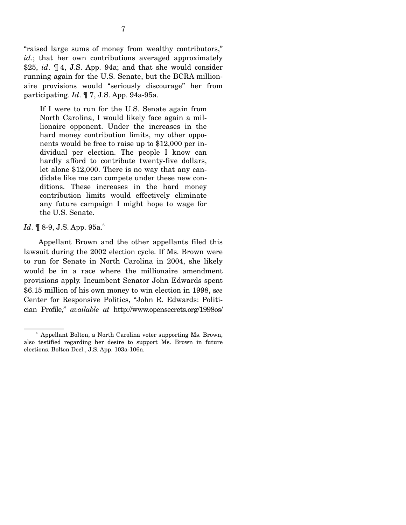"raised large sums of money from wealthy contributors," *id*.; that her own contributions averaged approximately \$25, *id*. ¶ 4, J.S. App. 94a; and that she would consider running again for the U.S. Senate, but the BCRA millionaire provisions would "seriously discourage" her from participating. *Id*. ¶ 7, J.S. App. 94a-95a.

If I were to run for the U.S. Senate again from North Carolina, I would likely face again a millionaire opponent. Under the increases in the hard money contribution limits, my other opponents would be free to raise up to \$12,000 per individual per election. The people I know can hardly afford to contribute twenty-five dollars, let alone \$12,000. There is no way that any candidate like me can compete under these new conditions. These increases in the hard money contribution limits would effectively eliminate any future campaign I might hope to wage for the U.S. Senate.

#### *Id.*  $\mathbb{I}$  8-9, J.S. App. 95a.<sup>6</sup>

Appellant Brown and the other appellants filed this lawsuit during the 2002 election cycle. If Ms. Brown were to run for Senate in North Carolina in 2004, she likely would be in a race where the millionaire amendment provisions apply. Incumbent Senator John Edwards spent \$6.15 million of his own money to win election in 1998, s*ee*  Center for Responsive Politics, "John R. Edwards: Politician Profile," *available at* http://www.opensecrets.org/1998os/

<sup>6</sup> Appellant Bolton, a North Carolina voter supporting Ms. Brown, also testified regarding her desire to support Ms. Brown in future elections. Bolton Decl., J.S. App. 103a-106a.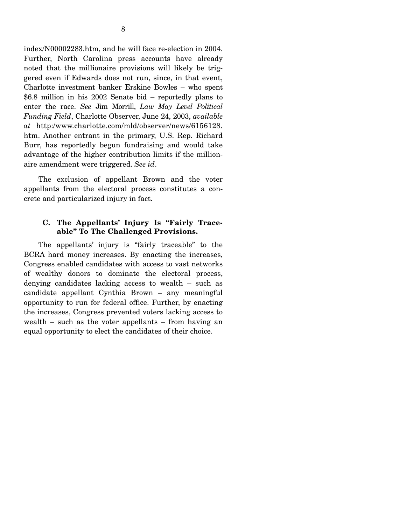index/N00002283.htm, and he will face re-election in 2004. Further, North Carolina press accounts have already noted that the millionaire provisions will likely be triggered even if Edwards does not run, since, in that event, Charlotte investment banker Erskine Bowles – who spent \$6.8 million in his 2002 Senate bid – reportedly plans to enter the race. *See* Jim Morrill, *Law May Level Political Funding Field*, Charlotte Observer, June 24, 2003, *available at* http:/www.charlotte.com/mld/observer/news/6156128. htm. Another entrant in the primary, U.S. Rep. Richard Burr, has reportedly begun fundraising and would take advantage of the higher contribution limits if the millionaire amendment were triggered. *See id*.

The exclusion of appellant Brown and the voter appellants from the electoral process constitutes a concrete and particularized injury in fact.

### **C. The Appellants' Injury Is "Fairly Traceable" To The Challenged Provisions.**

The appellants' injury is "fairly traceable" to the BCRA hard money increases. By enacting the increases, Congress enabled candidates with access to vast networks of wealthy donors to dominate the electoral process, denying candidates lacking access to wealth – such as candidate appellant Cynthia Brown – any meaningful opportunity to run for federal office. Further, by enacting the increases, Congress prevented voters lacking access to wealth – such as the voter appellants – from having an equal opportunity to elect the candidates of their choice.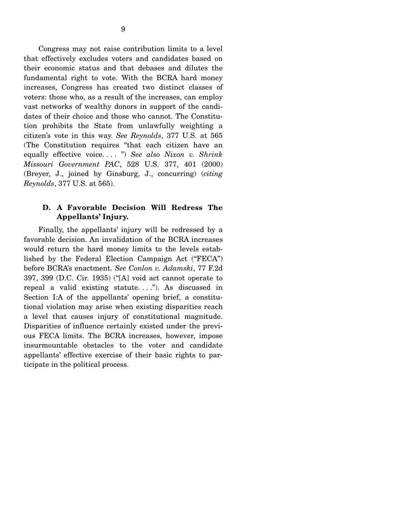Congress may not raise contribution limits to a level that effectively excludes voters and candidates based on their economic status and that debases and dilutes the fundamental right to vote. With the BCRA hard money increases, Congress has created two distinct classes of voters: those who, as a result of the increases, can employ vast networks of wealthy donors in support of the candidates of their choice and those who cannot. The Constitution prohibits the State from unlawfully weighting a citizen's vote in this way. *See Reynolds*, 377 U.S. at 565 (The Constitution requires "that each citizen have an equally effective voice. . . . ") *See also Nixon v. Shrink Missouri Government PAC*, 528 U.S. 377, 401 (2000) (Breyer, J., joined by Ginsburg, J., concurring) (*citing Reynolds*, 377 U.S. at 565).

### **D. A Favorable Decision Will Redress The Appellants' Injury.**

Finally, the appellants' injury will be redressed by a favorable decision. An invalidation of the BCRA increases would return the hard money limits to the levels established by the Federal Election Campaign Act ("FECA") before BCRA's enactment. *See Conlon v. Adamski*, 77 F.2d 397, 399 (D.C. Cir. 1935) ("[A] void act cannot operate to repeal a valid existing statute. . . ."). As discussed in Section I:A of the appellants' opening brief, a constitutional violation may arise when existing disparities reach a level that causes injury of constitutional magnitude. Disparities of influence certainly existed under the previous FECA limits. The BCRA increases, however, impose insurmountable obstacles to the voter and candidate appellants' effective exercise of their basic rights to participate in the political process.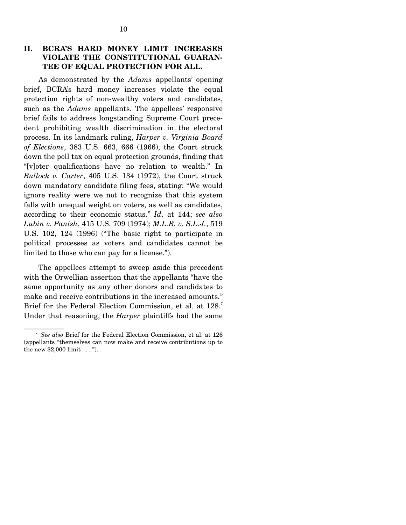## **II. BCRA'S HARD MONEY LIMIT INCREASES VIOLATE THE CONSTITUTIONAL GUARAN-TEE OF EQUAL PROTECTION FOR ALL.**

As demonstrated by the *Adams* appellants' opening brief, BCRA's hard money increases violate the equal protection rights of non-wealthy voters and candidates, such as the *Adams* appellants. The appellees' responsive brief fails to address longstanding Supreme Court precedent prohibiting wealth discrimination in the electoral process. In its landmark ruling, *Harper v. Virginia Board of Elections*, 383 U.S. 663, 666 (1966), the Court struck down the poll tax on equal protection grounds, finding that "[v]oter qualifications have no relation to wealth." In *Bullock v. Carter*, 405 U.S. 134 (1972), the Court struck down mandatory candidate filing fees, stating: "We would ignore reality were we not to recognize that this system falls with unequal weight on voters, as well as candidates, according to their economic status." *Id*. at 144; *see also Lubin v. Panish*, 415 U.S. 709 (1974); *M.L.B. v. S.L.J.*, 519 U.S. 102, 124 (1996) ("The basic right to participate in political processes as voters and candidates cannot be limited to those who can pay for a license.").

The appellees attempt to sweep aside this precedent with the Orwellian assertion that the appellants "have the same opportunity as any other donors and candidates to make and receive contributions in the increased amounts." Brief for the Federal Election Commission, et al. at 128.<sup>7</sup> Under that reasoning, the *Harper* plaintiffs had the same

<sup>7</sup>*See also* Brief for the Federal Election Commission, et al. at 126 (appellants "themselves can now make and receive contributions up to the new \$2,000 limit . . . ").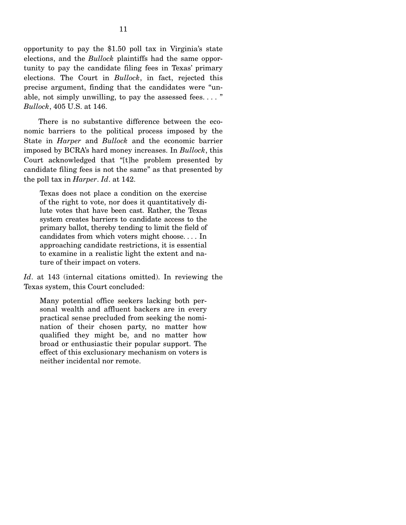opportunity to pay the \$1.50 poll tax in Virginia's state elections, and the *Bullock* plaintiffs had the same opportunity to pay the candidate filing fees in Texas' primary elections. The Court in *Bullock*, in fact, rejected this precise argument, finding that the candidates were "unable, not simply unwilling, to pay the assessed fees...." *Bullock*, 405 U.S. at 146.

There is no substantive difference between the economic barriers to the political process imposed by the State in *Harper* and *Bullock* and the economic barrier imposed by BCRA's hard money increases. In *Bullock*, this Court acknowledged that "[t]he problem presented by candidate filing fees is not the same" as that presented by the poll tax in *Harper*. *Id*. at 142.

Texas does not place a condition on the exercise of the right to vote, nor does it quantitatively dilute votes that have been cast. Rather, the Texas system creates barriers to candidate access to the primary ballot, thereby tending to limit the field of candidates from which voters might choose. . . . In approaching candidate restrictions, it is essential to examine in a realistic light the extent and nature of their impact on voters.

*Id*. at 143 (internal citations omitted). In reviewing the Texas system, this Court concluded:

Many potential office seekers lacking both personal wealth and affluent backers are in every practical sense precluded from seeking the nomination of their chosen party, no matter how qualified they might be, and no matter how broad or enthusiastic their popular support. The effect of this exclusionary mechanism on voters is neither incidental nor remote.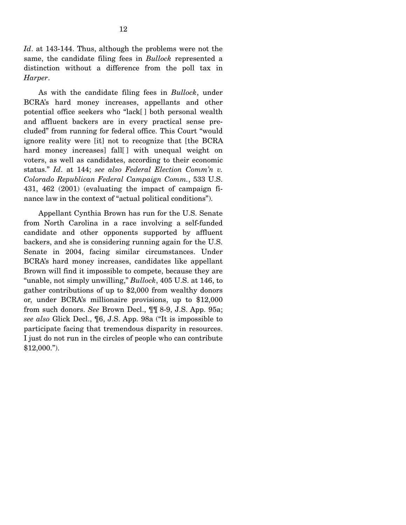*Id*. at 143-144. Thus, although the problems were not the same, the candidate filing fees in *Bullock* represented a distinction without a difference from the poll tax in *Harper*.

As with the candidate filing fees in *Bullock*, under BCRA's hard money increases, appellants and other potential office seekers who "lack[ ] both personal wealth and affluent backers are in every practical sense precluded" from running for federal office. This Court "would ignore reality were [it] not to recognize that [the BCRA hard money increases] fall[] with unequal weight on voters, as well as candidates, according to their economic status." *Id*. at 144; *see also Federal Election Comm'n v. Colorado Republican Federal Campaign Comm.*, 533 U.S. 431, 462 (2001) (evaluating the impact of campaign finance law in the context of "actual political conditions").

Appellant Cynthia Brown has run for the U.S. Senate from North Carolina in a race involving a self-funded candidate and other opponents supported by affluent backers, and she is considering running again for the U.S. Senate in 2004, facing similar circumstances. Under BCRA's hard money increases, candidates like appellant Brown will find it impossible to compete, because they are "unable, not simply unwilling," *Bullock*, 405 U.S. at 146, to gather contributions of up to \$2,000 from wealthy donors or, under BCRA's millionaire provisions, up to \$12,000 from such donors. *See* Brown Decl., ¶¶ 8-9, J.S. App. 95a; *see also* Glick Decl., ¶6, J.S. App. 98a ("It is impossible to participate facing that tremendous disparity in resources. I just do not run in the circles of people who can contribute  $$12,000."$ ).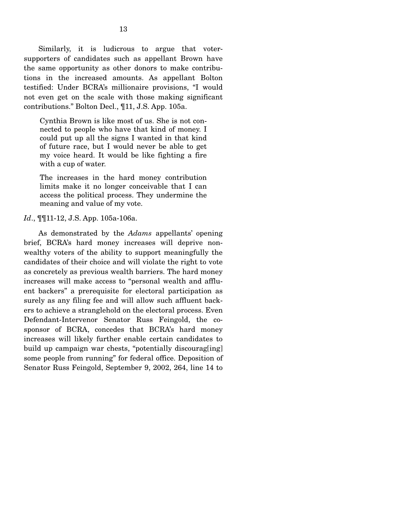Similarly, it is ludicrous to argue that votersupporters of candidates such as appellant Brown have the same opportunity as other donors to make contributions in the increased amounts. As appellant Bolton testified: Under BCRA's millionaire provisions, "I would not even get on the scale with those making significant contributions." Bolton Decl., ¶11, J.S. App. 105a.

Cynthia Brown is like most of us. She is not connected to people who have that kind of money. I could put up all the signs I wanted in that kind of future race, but I would never be able to get my voice heard. It would be like fighting a fire with a cup of water.

The increases in the hard money contribution limits make it no longer conceivable that I can access the political process. They undermine the meaning and value of my vote.

#### *Id.*,  $\P$ [11-12, J.S. App. 105a-106a.

As demonstrated by the *Adams* appellants' opening brief, BCRA's hard money increases will deprive nonwealthy voters of the ability to support meaningfully the candidates of their choice and will violate the right to vote as concretely as previous wealth barriers. The hard money increases will make access to "personal wealth and affluent backers" a prerequisite for electoral participation as surely as any filing fee and will allow such affluent backers to achieve a stranglehold on the electoral process. Even Defendant-Intervenor Senator Russ Feingold, the cosponsor of BCRA, concedes that BCRA's hard money increases will likely further enable certain candidates to build up campaign war chests, "potentially discourag[ing] some people from running" for federal office. Deposition of Senator Russ Feingold, September 9, 2002, 264, line 14 to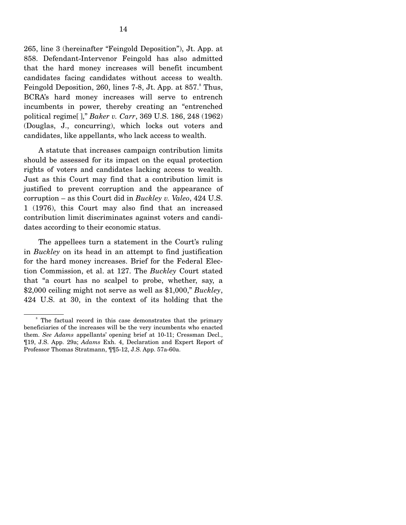265, line 3 (hereinafter "Feingold Deposition"), Jt. App. at 858. Defendant-Intervenor Feingold has also admitted that the hard money increases will benefit incumbent candidates facing candidates without access to wealth. Feingold Deposition, 260, lines 7-8, Jt. App. at 857.<sup>8</sup> Thus, BCRA's hard money increases will serve to entrench incumbents in power, thereby creating an "entrenched political regime[ ]," *Baker v. Carr*, 369 U.S. 186, 248 (1962) (Douglas, J., concurring), which locks out voters and candidates, like appellants, who lack access to wealth.

A statute that increases campaign contribution limits should be assessed for its impact on the equal protection rights of voters and candidates lacking access to wealth. Just as this Court may find that a contribution limit is justified to prevent corruption and the appearance of corruption – as this Court did in *Buckley v. Valeo*, 424 U.S. 1 (1976), this Court may also find that an increased contribution limit discriminates against voters and candidates according to their economic status.

The appellees turn a statement in the Court's ruling in *Buckley* on its head in an attempt to find justification for the hard money increases. Brief for the Federal Election Commission, et al. at 127. The *Buckley* Court stated that "a court has no scalpel to probe, whether, say, a \$2,000 ceiling might not serve as well as \$1,000," *Buckley*, 424 U.S. at 30, in the context of its holding that the

The factual record in this case demonstrates that the primary beneficiaries of the increases will be the very incumbents who enacted them. *See Adams* appellants' opening brief at 10-11; Cressman Decl., ¶19, J.S. App. 29a; *Adams* Exh. 4, Declaration and Expert Report of Professor Thomas Stratmann, ¶¶5-12, J.S. App. 57a-60a.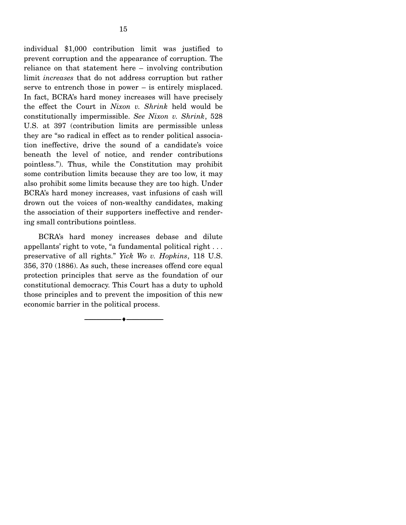individual \$1,000 contribution limit was justified to prevent corruption and the appearance of corruption. The reliance on that statement here – involving contribution limit *increases* that do not address corruption but rather serve to entrench those in power – is entirely misplaced. In fact, BCRA's hard money increases will have precisely the effect the Court in *Nixon v. Shrink* held would be constitutionally impermissible. *See Nixon v. Shrink*, 528 U.S. at 397 (contribution limits are permissible unless they are "so radical in effect as to render political association ineffective, drive the sound of a candidate's voice beneath the level of notice, and render contributions pointless."). Thus, while the Constitution may prohibit some contribution limits because they are too low, it may also prohibit some limits because they are too high. Under BCRA's hard money increases, vast infusions of cash will drown out the voices of non-wealthy candidates, making the association of their supporters ineffective and rendering small contributions pointless.

BCRA's hard money increases debase and dilute appellants' right to vote, "a fundamental political right . . . preservative of all rights." *Yick Wo v. Hopkins*, 118 U.S. 356, 370 (1886). As such, these increases offend core equal protection principles that serve as the foundation of our constitutional democracy. This Court has a duty to uphold those principles and to prevent the imposition of this new economic barrier in the political process.

----------------------------- ------------------------------

----♦-- -